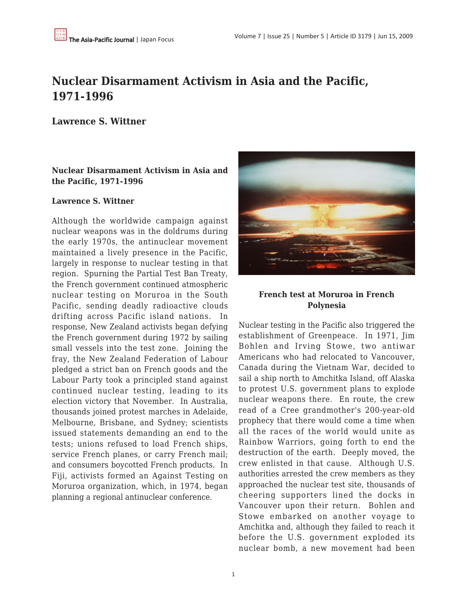# **Nuclear Disarmament Activism in Asia and the Pacific, 1971-1996**

**Lawrence S. Wittner**

# **Nuclear Disarmament Activism in Asia and the Pacific, 1971-1996**

## **Lawrence S. Wittner**

Although the worldwide campaign against nuclear weapons was in the doldrums during the early 1970s, the antinuclear movement maintained a lively presence in the Pacific, largely in response to nuclear testing in that region. Spurning the Partial Test Ban Treaty, the French government continued atmospheric nuclear testing on Moruroa in the South Pacific, sending deadly radioactive clouds drifting across Pacific island nations. In response, New Zealand activists began defying the French government during 1972 by sailing small vessels into the test zone. Joining the fray, the New Zealand Federation of Labour pledged a strict ban on French goods and the Labour Party took a principled stand against continued nuclear testing, leading to its election victory that November. In Australia, thousands joined protest marches in Adelaide, Melbourne, Brisbane, and Sydney; scientists issued statements demanding an end to the tests; unions refused to load French ships, service French planes, or carry French mail; and consumers boycotted French products. In Fiji, activists formed an Against Testing on Moruroa organization, which, in 1974, began planning a regional antinuclear conference.



## **French test at Moruroa in French Polynesia**

Nuclear testing in the Pacific also triggered the establishment of Greenpeace. In 1971, Jim Bohlen and Irving Stowe, two antiwar Americans who had relocated to Vancouver, Canada during the Vietnam War, decided to sail a ship north to Amchitka Island, off Alaska to protest U.S. government plans to explode nuclear weapons there. En route, the crew read of a Cree grandmother's 200-year-old prophecy that there would come a time when all the races of the world would unite as Rainbow Warriors, going forth to end the destruction of the earth. Deeply moved, the crew enlisted in that cause. Although U.S. authorities arrested the crew members as they approached the nuclear test site, thousands of cheering supporters lined the docks in Vancouver upon their return. Bohlen and Stowe embarked on another voyage to Amchitka and, although they failed to reach it before the U.S. government exploded its nuclear bomb, a new movement had been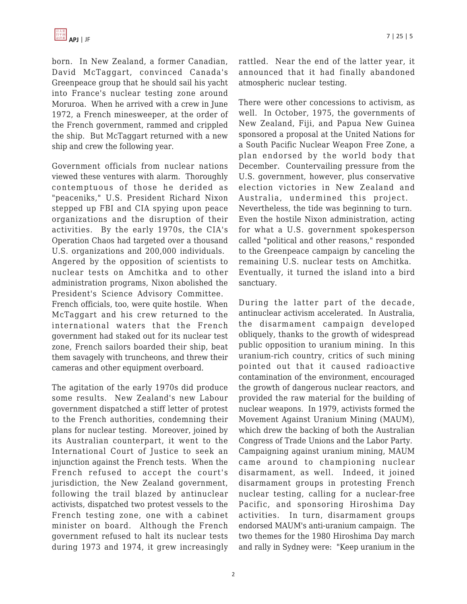born. In New Zealand, a former Canadian, David McTaggart, convinced Canada's Greenpeace group that he should sail his yacht into France's nuclear testing zone around Moruroa. When he arrived with a crew in June 1972, a French minesweeper, at the order of the French government, rammed and crippled the ship. But McTaggart returned with a new ship and crew the following year.

Government officials from nuclear nations viewed these ventures with alarm. Thoroughly contemptuous of those he derided as "peaceniks," U.S. President Richard Nixon stepped up FBI and CIA spying upon peace organizations and the disruption of their activities. By the early 1970s, the CIA's Operation Chaos had targeted over a thousand U.S. organizations and 200,000 individuals. Angered by the opposition of scientists to nuclear tests on Amchitka and to other administration programs, Nixon abolished the President's Science Advisory Committee. French officials, too, were quite hostile. When McTaggart and his crew returned to the international waters that the French government had staked out for its nuclear test zone, French sailors boarded their ship, beat them savagely with truncheons, and threw their cameras and other equipment overboard.

The agitation of the early 1970s did produce some results. New Zealand's new Labour government dispatched a stiff letter of protest to the French authorities, condemning their plans for nuclear testing. Moreover, joined by its Australian counterpart, it went to the International Court of Justice to seek an injunction against the French tests. When the French refused to accept the court's jurisdiction, the New Zealand government, following the trail blazed by antinuclear activists, dispatched two protest vessels to the French testing zone, one with a cabinet minister on board. Although the French government refused to halt its nuclear tests during 1973 and 1974, it grew increasingly rattled. Near the end of the latter year, it announced that it had finally abandoned atmospheric nuclear testing.

There were other concessions to activism, as well. In October, 1975, the governments of New Zealand, Fiji, and Papua New Guinea sponsored a proposal at the United Nations for a South Pacific Nuclear Weapon Free Zone, a plan endorsed by the world body that December. Countervailing pressure from the U.S. government, however, plus conservative election victories in New Zealand and Australia, undermined this project. Nevertheless, the tide was beginning to turn. Even the hostile Nixon administration, acting for what a U.S. government spokesperson called "political and other reasons," responded to the Greenpeace campaign by canceling the remaining U.S. nuclear tests on Amchitka. Eventually, it turned the island into a bird sanctuary.

During the latter part of the decade, antinuclear activism accelerated. In Australia, the disarmament campaign developed obliquely, thanks to the growth of widespread public opposition to uranium mining. In this uranium-rich country, critics of such mining pointed out that it caused radioactive contamination of the environment, encouraged the growth of dangerous nuclear reactors, and provided the raw material for the building of nuclear weapons. In 1979, activists formed the Movement Against Uranium Mining (MAUM), which drew the backing of both the Australian Congress of Trade Unions and the Labor Party. Campaigning against uranium mining, MAUM came around to championing nuclear disarmament, as well. Indeed, it joined disarmament groups in protesting French nuclear testing, calling for a nuclear-free Pacific, and sponsoring Hiroshima Day activities. In turn, disarmament groups endorsed MAUM's anti-uranium campaign. The two themes for the 1980 Hiroshima Day march and rally in Sydney were: "Keep uranium in the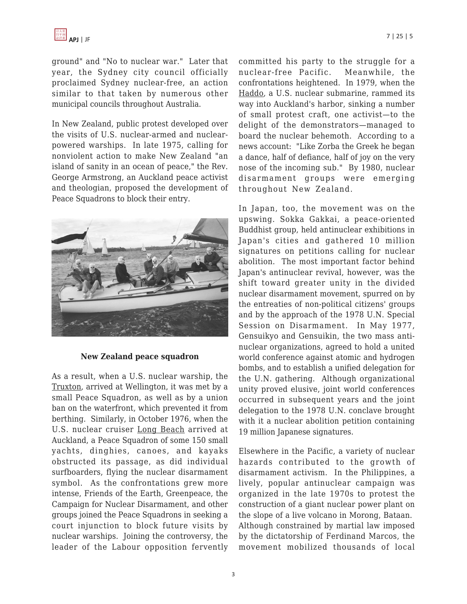

ground" and "No to nuclear war." Later that year, the Sydney city council officially proclaimed Sydney nuclear-free, an action similar to that taken by numerous other municipal councils throughout Australia.

In New Zealand, public protest developed over the visits of U.S. nuclear-armed and nuclearpowered warships. In late 1975, calling for nonviolent action to make New Zealand "an island of sanity in an ocean of peace," the Rev. George Armstrong, an Auckland peace activist and theologian, proposed the development of Peace Squadrons to block their entry.



#### **New Zealand peace squadron**

As a result, when a U.S. nuclear warship, the Truxton, arrived at Wellington, it was met by a small Peace Squadron, as well as by a union ban on the waterfront, which prevented it from berthing. Similarly, in October 1976, when the U.S. nuclear cruiser Long Beach arrived at Auckland, a Peace Squadron of some 150 small yachts, dinghies, canoes, and kayaks obstructed its passage, as did individual surfboarders, flying the nuclear disarmament symbol. As the confrontations grew more intense, Friends of the Earth, Greenpeace, the Campaign for Nuclear Disarmament, and other groups joined the Peace Squadrons in seeking a court injunction to block future visits by nuclear warships. Joining the controversy, the leader of the Labour opposition fervently committed his party to the struggle for a nuclear-free Pacific. Meanwhile, the confrontations heightened. In 1979, when the Haddo, a U.S. nuclear submarine, rammed its way into Auckland's harbor, sinking a number of small protest craft, one activist—to the delight of the demonstrators—managed to board the nuclear behemoth. According to a news account: "Like Zorba the Greek he began a dance, half of defiance, half of joy on the very nose of the incoming sub." By 1980, nuclear disarmament groups were emerging throughout New Zealand.

In Japan, too, the movement was on the upswing. Sokka Gakkai, a peace-oriented Buddhist group, held antinuclear exhibitions in Japan's cities and gathered 10 million signatures on petitions calling for nuclear abolition. The most important factor behind Japan's antinuclear revival, however, was the shift toward greater unity in the divided nuclear disarmament movement, spurred on by the entreaties of non-political citizens' groups and by the approach of the 1978 U.N. Special Session on Disarmament. In May 1977, Gensuikyo and Gensuikin, the two mass antinuclear organizations, agreed to hold a united world conference against atomic and hydrogen bombs, and to establish a unified delegation for the U.N. gathering. Although organizational unity proved elusive, joint world conferences occurred in subsequent years and the joint delegation to the 1978 U.N. conclave brought with it a nuclear abolition petition containing 19 million Japanese signatures.

Elsewhere in the Pacific, a variety of nuclear hazards contributed to the growth of disarmament activism. In the Philippines, a lively, popular antinuclear campaign was organized in the late 1970s to protest the construction of a giant nuclear power plant on the slope of a live volcano in Morong, Bataan. Although constrained by martial law imposed by the dictatorship of Ferdinand Marcos, the movement mobilized thousands of local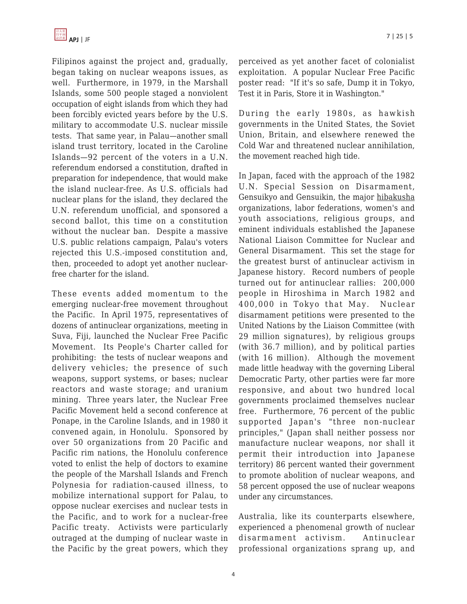Filipinos against the project and, gradually, began taking on nuclear weapons issues, as well. Furthermore, in 1979, in the Marshall Islands, some 500 people staged a nonviolent occupation of eight islands from which they had been forcibly evicted years before by the U.S. military to accommodate U.S. nuclear missile tests. That same year, in Palau—another small island trust territory, located in the Caroline Islands—92 percent of the voters in a U.N. referendum endorsed a constitution, drafted in preparation for independence, that would make the island nuclear-free. As U.S. officials had nuclear plans for the island, they declared the U.N. referendum unofficial, and sponsored a second ballot, this time on a constitution without the nuclear ban. Despite a massive U.S. public relations campaign, Palau's voters rejected this U.S.-imposed constitution and, then, proceeded to adopt yet another nuclearfree charter for the island.

These events added momentum to the emerging nuclear-free movement throughout the Pacific. In April 1975, representatives of dozens of antinuclear organizations, meeting in Suva, Fiji, launched the Nuclear Free Pacific Movement. Its People's Charter called for prohibiting: the tests of nuclear weapons and delivery vehicles; the presence of such weapons, support systems, or bases; nuclear reactors and waste storage; and uranium mining. Three years later, the Nuclear Free Pacific Movement held a second conference at Ponape, in the Caroline Islands, and in 1980 it convened again, in Honolulu. Sponsored by over 50 organizations from 20 Pacific and Pacific rim nations, the Honolulu conference voted to enlist the help of doctors to examine the people of the Marshall Islands and French Polynesia for radiation-caused illness, to mobilize international support for Palau, to oppose nuclear exercises and nuclear tests in the Pacific, and to work for a nuclear-free Pacific treaty. Activists were particularly outraged at the dumping of nuclear waste in the Pacific by the great powers, which they perceived as yet another facet of colonialist exploitation. A popular Nuclear Free Pacific poster read: "If it's so safe, Dump it in Tokyo, Test it in Paris, Store it in Washington."

During the early 1980s, as hawkish governments in the United States, the Soviet Union, Britain, and elsewhere renewed the Cold War and threatened nuclear annihilation, the movement reached high tide.

In Japan, faced with the approach of the 1982 U.N. Special Session on Disarmament, Gensuikyo and Gensuikin, the major hibakusha organizations, labor federations, women's and youth associations, religious groups, and eminent individuals established the Japanese National Liaison Committee for Nuclear and General Disarmament. This set the stage for the greatest burst of antinuclear activism in Japanese history. Record numbers of people turned out for antinuclear rallies: 200,000 people in Hiroshima in March 1982 and 400,000 in Tokyo that May. Nuclear disarmament petitions were presented to the United Nations by the Liaison Committee (with 29 million signatures), by religious groups (with 36.7 million), and by political parties (with 16 million). Although the movement made little headway with the governing Liberal Democratic Party, other parties were far more responsive, and about two hundred local governments proclaimed themselves nuclear free. Furthermore, 76 percent of the public supported Japan's "three non-nuclear principles," (Japan shall neither possess nor manufacture nuclear weapons, nor shall it permit their introduction into Japanese territory) 86 percent wanted their government to promote abolition of nuclear weapons, and 58 percent opposed the use of nuclear weapons under any circumstances.

Australia, like its counterparts elsewhere, experienced a phenomenal growth of nuclear disarmament activism. Antinuclear professional organizations sprang up, and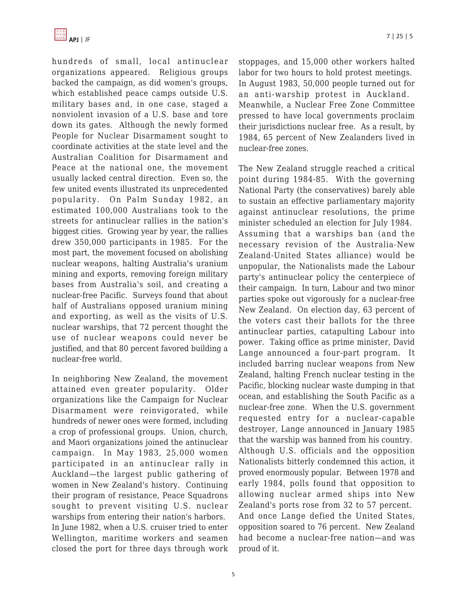hundreds of small, local antinuclear organizations appeared. Religious groups backed the campaign, as did women's groups, which established peace camps outside U.S. military bases and, in one case, staged a nonviolent invasion of a U.S. base and tore down its gates. Although the newly formed People for Nuclear Disarmament sought to coordinate activities at the state level and the Australian Coalition for Disarmament and Peace at the national one, the movement usually lacked central direction. Even so, the few united events illustrated its unprecedented popularity. On Palm Sunday 1982, an estimated 100,000 Australians took to the streets for antinuclear rallies in the nation's biggest cities. Growing year by year, the rallies drew 350,000 participants in 1985. For the most part, the movement focused on abolishing nuclear weapons, halting Australia's uranium mining and exports, removing foreign military bases from Australia's soil, and creating a nuclear-free Pacific. Surveys found that about half of Australians opposed uranium mining and exporting, as well as the visits of U.S. nuclear warships, that 72 percent thought the use of nuclear weapons could never be justified, and that 80 percent favored building a nuclear-free world.

In neighboring New Zealand, the movement attained even greater popularity. Older organizations like the Campaign for Nuclear Disarmament were reinvigorated, while hundreds of newer ones were formed, including a crop of professional groups. Union, church, and Maori organizations joined the antinuclear campaign. In May 1983, 25,000 women participated in an antinuclear rally in Auckland—the largest public gathering of women in New Zealand's history. Continuing their program of resistance, Peace Squadrons sought to prevent visiting U.S. nuclear warships from entering their nation's harbors. In June 1982, when a U.S. cruiser tried to enter Wellington, maritime workers and seamen closed the port for three days through work stoppages, and 15,000 other workers halted labor for two hours to hold protest meetings. In August 1983, 50,000 people turned out for an anti-warship protest in Auckland. Meanwhile, a Nuclear Free Zone Committee pressed to have local governments proclaim their jurisdictions nuclear free. As a result, by 1984, 65 percent of New Zealanders lived in nuclear-free zones.

The New Zealand struggle reached a critical point during 1984-85. With the governing National Party (the conservatives) barely able to sustain an effective parliamentary majority against antinuclear resolutions, the prime minister scheduled an election for July 1984. Assuming that a warships ban (and the necessary revision of the Australia-New Zealand-United States alliance) would be unpopular, the Nationalists made the Labour party's antinuclear policy the centerpiece of their campaign. In turn, Labour and two minor parties spoke out vigorously for a nuclear-free New Zealand. On election day, 63 percent of the voters cast their ballots for the three antinuclear parties, catapulting Labour into power. Taking office as prime minister, David Lange announced a four-part program. It included barring nuclear weapons from New Zealand, halting French nuclear testing in the Pacific, blocking nuclear waste dumping in that ocean, and establishing the South Pacific as a nuclear-free zone. When the U.S. government requested entry for a nuclear-capable destroyer, Lange announced in January 1985 that the warship was banned from his country. Although U.S. officials and the opposition Nationalists bitterly condemned this action, it proved enormously popular. Between 1978 and early 1984, polls found that opposition to allowing nuclear armed ships into New Zealand's ports rose from 32 to 57 percent. And once Lange defied the United States, opposition soared to 76 percent. New Zealand had become a nuclear-free nation—and was proud of it.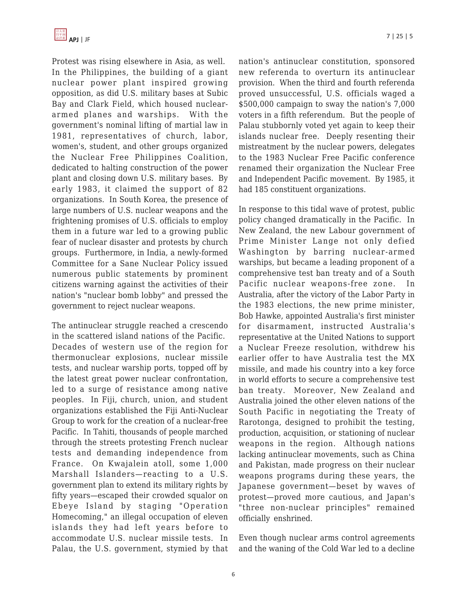

Protest was rising elsewhere in Asia, as well. In the Philippines, the building of a giant nuclear power plant inspired growing opposition, as did U.S. military bases at Subic Bay and Clark Field, which housed nucleararmed planes and warships. With the government's nominal lifting of martial law in 1981, representatives of church, labor, women's, student, and other groups organized the Nuclear Free Philippines Coalition, dedicated to halting construction of the power plant and closing down U.S. military bases. By early 1983, it claimed the support of 82 organizations. In South Korea, the presence of large numbers of U.S. nuclear weapons and the frightening promises of U.S. officials to employ them in a future war led to a growing public fear of nuclear disaster and protests by church groups. Furthermore, in India, a newly-formed Committee for a Sane Nuclear Policy issued numerous public statements by prominent citizens warning against the activities of their nation's "nuclear bomb lobby" and pressed the government to reject nuclear weapons.

The antinuclear struggle reached a crescendo in the scattered island nations of the Pacific. Decades of western use of the region for thermonuclear explosions, nuclear missile tests, and nuclear warship ports, topped off by the latest great power nuclear confrontation, led to a surge of resistance among native peoples. In Fiji, church, union, and student organizations established the Fiji Anti-Nuclear Group to work for the creation of a nuclear-free Pacific. In Tahiti, thousands of people marched through the streets protesting French nuclear tests and demanding independence from France. On Kwajalein atoll, some 1,000 Marshall Islanders—reacting to a U.S. government plan to extend its military rights by fifty years—escaped their crowded squalor on Ebeye Island by staging "Operation Homecoming," an illegal occupation of eleven islands they had left years before to accommodate U.S. nuclear missile tests. In Palau, the U.S. government, stymied by that nation's antinuclear constitution, sponsored new referenda to overturn its antinuclear provision. When the third and fourth referenda proved unsuccessful, U.S. officials waged a \$500,000 campaign to sway the nation's 7,000 voters in a fifth referendum. But the people of Palau stubbornly voted yet again to keep their islands nuclear free. Deeply resenting their mistreatment by the nuclear powers, delegates to the 1983 Nuclear Free Pacific conference renamed their organization the Nuclear Free and Independent Pacific movement. By 1985, it had 185 constituent organizations.

In response to this tidal wave of protest, public policy changed dramatically in the Pacific. In New Zealand, the new Labour government of Prime Minister Lange not only defied Washington by barring nuclear-armed warships, but became a leading proponent of a comprehensive test ban treaty and of a South Pacific nuclear weapons-free zone. Australia, after the victory of the Labor Party in the 1983 elections, the new prime minister, Bob Hawke, appointed Australia's first minister for disarmament, instructed Australia's representative at the United Nations to support a Nuclear Freeze resolution, withdrew his earlier offer to have Australia test the MX missile, and made his country into a key force in world efforts to secure a comprehensive test ban treaty. Moreover, New Zealand and Australia joined the other eleven nations of the South Pacific in negotiating the Treaty of Rarotonga, designed to prohibit the testing, production, acquisition, or stationing of nuclear weapons in the region. Although nations lacking antinuclear movements, such as China and Pakistan, made progress on their nuclear weapons programs during these years, the Japanese government—beset by waves of protest—proved more cautious, and Japan's "three non-nuclear principles" remained officially enshrined.

Even though nuclear arms control agreements and the waning of the Cold War led to a decline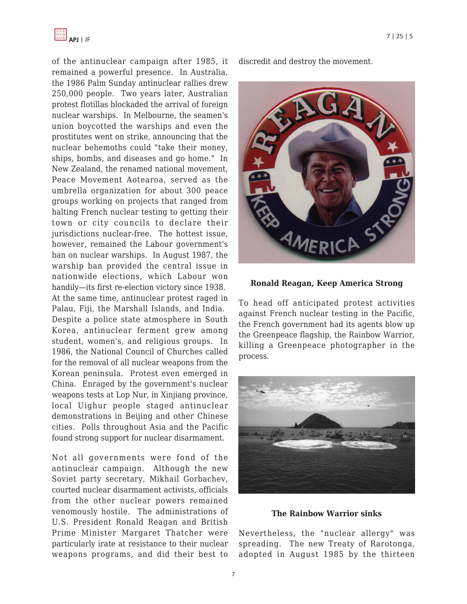

of the antinuclear campaign after 1985, it remained a powerful presence. In Australia, the 1986 Palm Sunday antinuclear rallies drew 250,000 people. Two years later, Australian protest flotillas blockaded the arrival of foreign nuclear warships. In Melbourne, the seamen's union boycotted the warships and even the prostitutes went on strike, announcing that the nuclear behemoths could "take their money, ships, bombs, and diseases and go home." In New Zealand, the renamed national movement, Peace Movement Aotearoa, served as the umbrella organization for about 300 peace groups working on projects that ranged from halting French nuclear testing to getting their town or city councils to declare their jurisdictions nuclear-free. The hottest issue, however, remained the Labour government's ban on nuclear warships. In August 1987, the warship ban provided the central issue in nationwide elections, which Labour won handily—its first re-election victory since 1938. At the same time, antinuclear protest raged in Palau, Fiji, the Marshall Islands, and India. Despite a police state atmosphere in South Korea, antinuclear ferment grew among student, women's, and religious groups. In 1986, the National Council of Churches called for the removal of all nuclear weapons from the Korean peninsula. Protest even emerged in China. Enraged by the government's nuclear weapons tests at Lop Nur, in Xinjiang province, local Uighur people staged antinuclear demonstrations in Beijing and other Chinese cities. Polls throughout Asia and the Pacific found strong support for nuclear disarmament.

Not all governments were fond of the antinuclear campaign. Although the new Soviet party secretary, Mikhail Gorbachev, courted nuclear disarmament activists, officials from the other nuclear powers remained venomously hostile. The administrations of U.S. President Ronald Reagan and British Prime Minister Margaret Thatcher were particularly irate at resistance to their nuclear weapons programs, and did their best to discredit and destroy the movement.



#### **Ronald Reagan, Keep America Strong**

To head off anticipated protest activities against French nuclear testing in the Pacific, the French government had its agents blow up the Greenpeace flagship, the Rainbow Warrior, killing a Greenpeace photographer in the process.



#### **The Rainbow Warrior sinks**

Nevertheless, the "nuclear allergy" was spreading. The new Treaty of Rarotonga, adopted in August 1985 by the thirteen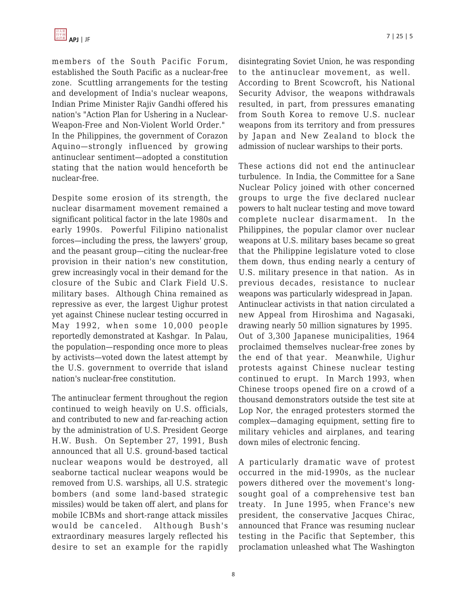members of the South Pacific Forum, established the South Pacific as a nuclear-free zone. Scuttling arrangements for the testing and development of India's nuclear weapons, Indian Prime Minister Rajiv Gandhi offered his nation's "Action Plan for Ushering in a Nuclear-Weapon-Free and Non-Violent World Order." In the Philippines, the government of Corazon Aquino—strongly influenced by growing antinuclear sentiment—adopted a constitution stating that the nation would henceforth be nuclear-free.

Despite some erosion of its strength, the nuclear disarmament movement remained a significant political factor in the late 1980s and early 1990s. Powerful Filipino nationalist forces—including the press, the lawyers' group, and the peasant group—citing the nuclear-free provision in their nation's new constitution, grew increasingly vocal in their demand for the closure of the Subic and Clark Field U.S. military bases. Although China remained as repressive as ever, the largest Uighur protest yet against Chinese nuclear testing occurred in May 1992, when some 10,000 people reportedly demonstrated at Kashgar. In Palau, the population—responding once more to pleas by activists—voted down the latest attempt by the U.S. government to override that island nation's nuclear-free constitution.

The antinuclear ferment throughout the region continued to weigh heavily on U.S. officials, and contributed to new and far-reaching action by the administration of U.S. President George H.W. Bush. On September 27, 1991, Bush announced that all U.S. ground-based tactical nuclear weapons would be destroyed, all seaborne tactical nuclear weapons would be removed from U.S. warships, all U.S. strategic bombers (and some land-based strategic missiles) would be taken off alert, and plans for mobile ICBMs and short-range attack missiles would be canceled. Although Bush's extraordinary measures largely reflected his desire to set an example for the rapidly disintegrating Soviet Union, he was responding to the antinuclear movement, as well. According to Brent Scowcroft, his National Security Advisor, the weapons withdrawals resulted, in part, from pressures emanating from South Korea to remove U.S. nuclear weapons from its territory and from pressures by Japan and New Zealand to block the admission of nuclear warships to their ports.

These actions did not end the antinuclear turbulence. In India, the Committee for a Sane Nuclear Policy joined with other concerned groups to urge the five declared nuclear powers to halt nuclear testing and move toward complete nuclear disarmament. In the Philippines, the popular clamor over nuclear weapons at U.S. military bases became so great that the Philippine legislature voted to close them down, thus ending nearly a century of U.S. military presence in that nation. As in previous decades, resistance to nuclear weapons was particularly widespread in Japan. Antinuclear activists in that nation circulated a new Appeal from Hiroshima and Nagasaki, drawing nearly 50 million signatures by 1995. Out of 3,300 Japanese municipalities, 1964 proclaimed themselves nuclear-free zones by the end of that year. Meanwhile, Uighur protests against Chinese nuclear testing continued to erupt. In March 1993, when Chinese troops opened fire on a crowd of a thousand demonstrators outside the test site at Lop Nor, the enraged protesters stormed the complex—damaging equipment, setting fire to military vehicles and airplanes, and tearing down miles of electronic fencing.

A particularly dramatic wave of protest occurred in the mid-1990s, as the nuclear powers dithered over the movement's longsought goal of a comprehensive test ban treaty. In June 1995, when France's new president, the conservative Jacques Chirac, announced that France was resuming nuclear testing in the Pacific that September, this proclamation unleashed what The Washington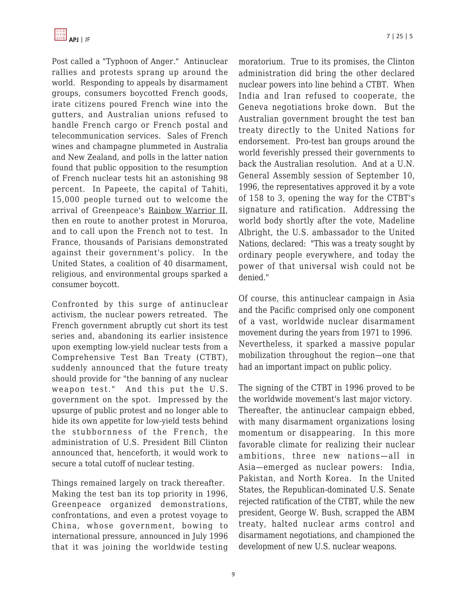Post called a "Typhoon of Anger." Antinuclear rallies and protests sprang up around the world. Responding to appeals by disarmament groups, consumers boycotted French goods, irate citizens poured French wine into the gutters, and Australian unions refused to handle French cargo or French postal and telecommunication services. Sales of French wines and champagne plummeted in Australia and New Zealand, and polls in the latter nation found that public opposition to the resumption of French nuclear tests hit an astonishing 98 percent. In Papeete, the capital of Tahiti, 15,000 people turned out to welcome the arrival of Greenpeace's Rainbow Warrior II, then en route to another protest in Moruroa, and to call upon the French not to test. In France, thousands of Parisians demonstrated against their government's policy. In the United States, a coalition of 40 disarmament, religious, and environmental groups sparked a consumer boycott.

Confronted by this surge of antinuclear activism, the nuclear powers retreated. The French government abruptly cut short its test series and, abandoning its earlier insistence upon exempting low-yield nuclear tests from a Comprehensive Test Ban Treaty (CTBT), suddenly announced that the future treaty should provide for "the banning of any nuclear weapon test." And this put the U.S. government on the spot. Impressed by the upsurge of public protest and no longer able to hide its own appetite for low-yield tests behind the stubbornness of the French, the administration of U.S. President Bill Clinton announced that, henceforth, it would work to secure a total cutoff of nuclear testing.

Things remained largely on track thereafter. Making the test ban its top priority in 1996, Greenpeace organized demonstrations, confrontations, and even a protest voyage to China, whose government, bowing to international pressure, announced in July 1996 that it was joining the worldwide testing moratorium. True to its promises, the Clinton administration did bring the other declared nuclear powers into line behind a CTBT. When India and Iran refused to cooperate, the Geneva negotiations broke down. But the Australian government brought the test ban treaty directly to the United Nations for endorsement. Pro-test ban groups around the world feverishly pressed their governments to back the Australian resolution. And at a U.N. General Assembly session of September 10, 1996, the representatives approved it by a vote of 158 to 3, opening the way for the CTBT's signature and ratification. Addressing the world body shortly after the vote, Madeline Albright, the U.S. ambassador to the United Nations, declared: "This was a treaty sought by ordinary people everywhere, and today the power of that universal wish could not be denied."

Of course, this antinuclear campaign in Asia and the Pacific comprised only one component of a vast, worldwide nuclear disarmament movement during the years from 1971 to 1996. Nevertheless, it sparked a massive popular mobilization throughout the region—one that had an important impact on public policy.

The signing of the CTBT in 1996 proved to be the worldwide movement's last major victory. Thereafter, the antinuclear campaign ebbed, with many disarmament organizations losing momentum or disappearing. In this more favorable climate for realizing their nuclear ambitions, three new nations—all in Asia—emerged as nuclear powers: India, Pakistan, and North Korea. In the United States, the Republican-dominated U.S. Senate rejected ratification of the CTBT, while the new president, George W. Bush, scrapped the ABM treaty, halted nuclear arms control and disarmament negotiations, and championed the development of new U.S. nuclear weapons.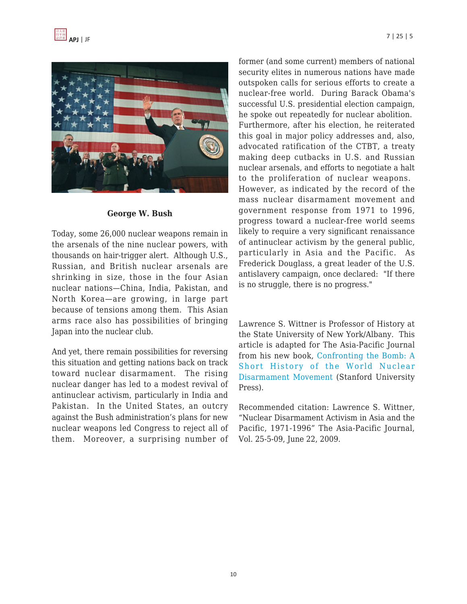



## **George W. Bush**

Today, some 26,000 nuclear weapons remain in the arsenals of the nine nuclear powers, with thousands on hair-trigger alert. Although U.S., Russian, and British nuclear arsenals are shrinking in size, those in the four Asian nuclear nations—China, India, Pakistan, and North Korea—are growing, in large part because of tensions among them. This Asian arms race also has possibilities of bringing Japan into the nuclear club.

And yet, there remain possibilities for reversing this situation and getting nations back on track toward nuclear disarmament. The rising nuclear danger has led to a modest revival of antinuclear activism, particularly in India and Pakistan. In the United States, an outcry against the Bush administration's plans for new nuclear weapons led Congress to reject all of them. Moreover, a surprising number of former (and some current) members of national security elites in numerous nations have made outspoken calls for serious efforts to create a nuclear-free world. During Barack Obama's successful U.S. presidential election campaign, he spoke out repeatedly for nuclear abolition. Furthermore, after his election, he reiterated this goal in major policy addresses and, also, advocated ratification of the CTBT, a treaty making deep cutbacks in U.S. and Russian nuclear arsenals, and efforts to negotiate a halt to the proliferation of nuclear weapons. However, as indicated by the record of the mass nuclear disarmament movement and government response from 1971 to 1996, progress toward a nuclear-free world seems likely to require a very significant renaissance of antinuclear activism by the general public, particularly in Asia and the Pacific. As Frederick Douglass, a great leader of the U.S. antislavery campaign, once declared: "If there is no struggle, there is no progress."

Lawrence S. Wittner is Professor of History at the State University of New York/Albany. This article is adapted for The Asia-Pacific Journal from his new book, [Confronting the Bomb: A](http://www.amazon.com/dp/0804756325/?tag=theasipacjo0b-20) [Short History of the World Nuclear](http://www.amazon.com/dp/0804756325/?tag=theasipacjo0b-20) [Disarmament Movement](http://www.amazon.com/dp/0804756325/?tag=theasipacjo0b-20) (Stanford University Press).

Recommended citation: Lawrence S. Wittner, "Nuclear Disarmament Activism in Asia and the Pacific, 1971-1996" The Asia-Pacific Journal, Vol. 25-5-09, June 22, 2009.